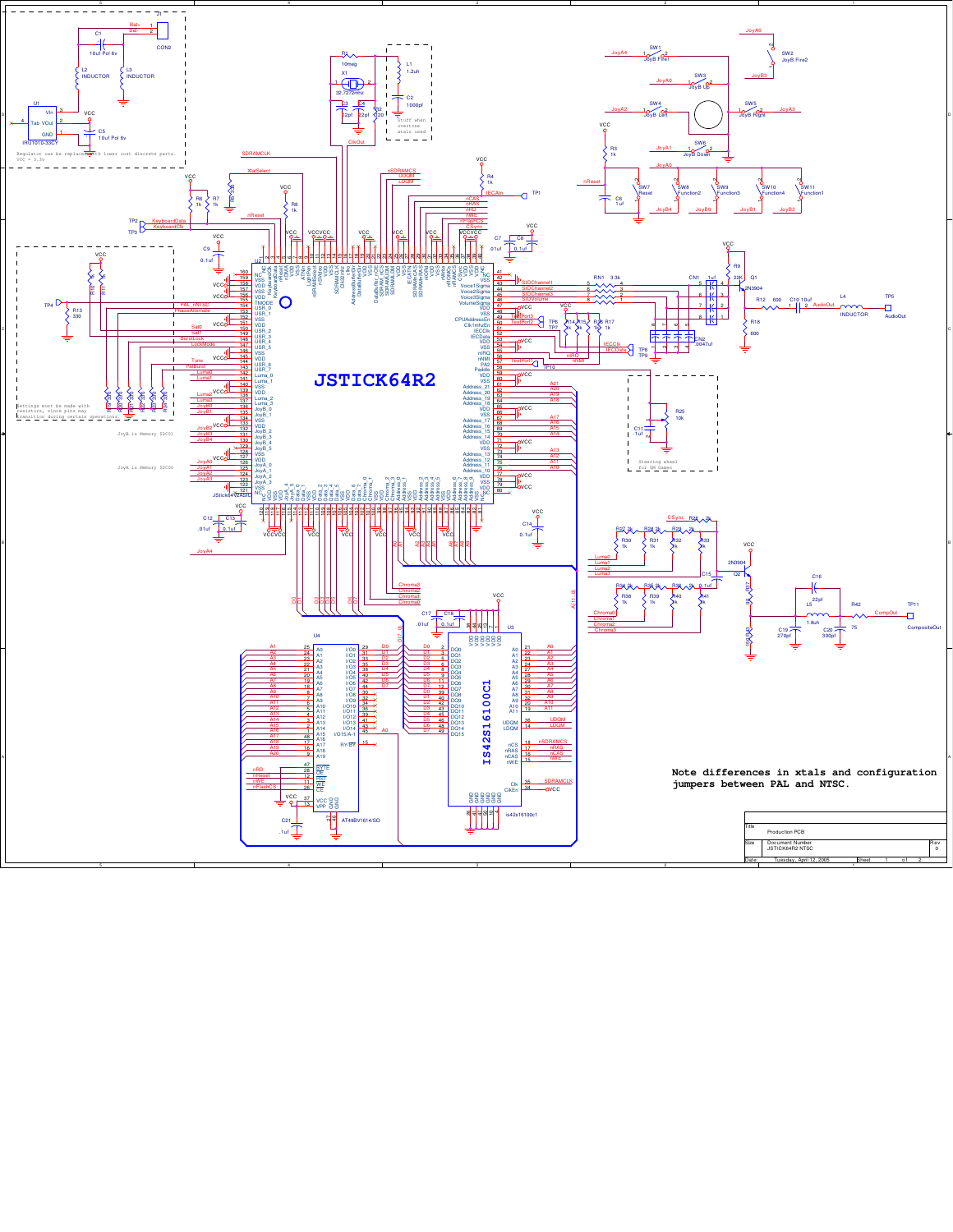